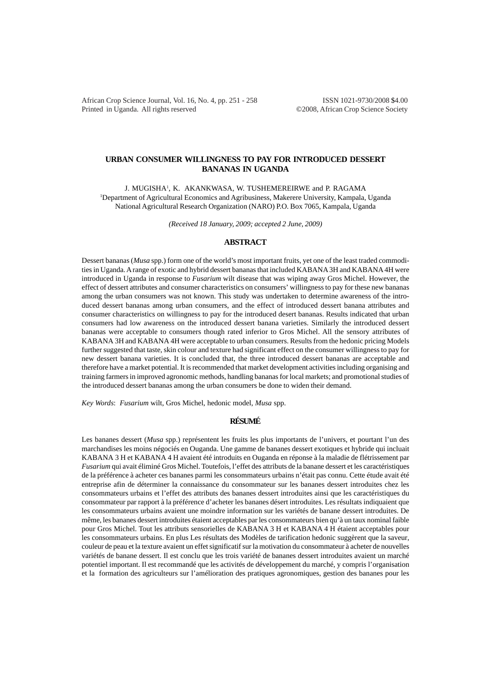African Crop Science Journal, Vol. 16, No. 4, pp. 251 - 258 **ISSN** 1021-9730/2008 \$4.00 Printed in Uganda. All rights reserved ©2008, African Crop Science Society

# **URBAN CONSUMER WILLINGNESS TO PAY FOR INTRODUCED DESSERT BANANAS IN UGANDA**

J. MUGISHA<sup>1</sup>, K. AKANKWASA, W. TUSHEMEREIRWE and P. RAGAMA 1 Department of Agricultural Economics and Agribusiness, Makerere University, Kampala, Uganda National Agricultural Research Organization (NARO) P.O. Box 7065, Kampala, Uganda

*(Received 18 January, 2009; accepted 2 June, 2009)*

### **ABSTRACT**

Dessert bananas (*Musa* spp.) form one of the world's most important fruits, yet one of the least traded commodities in Uganda. A range of exotic and hybrid dessert bananas that included KABANA 3H and KABANA 4H were introduced in Uganda in response to *Fusarium* wilt disease that was wiping away Gros Michel. However, the effect of dessert attributes and consumer characteristics on consumers' willingness to pay for these new bananas among the urban consumers was not known. This study was undertaken to determine awareness of the introduced dessert bananas among urban consumers, and the effect of introduced dessert banana attributes and consumer characteristics on willingness to pay for the introduced desert bananas. Results indicated that urban consumers had low awareness on the introduced dessert banana varieties. Similarly the introduced dessert bananas were acceptable to consumers though rated inferior to Gros Michel. All the sensory attributes of KABANA 3H and KABANA 4H were acceptable to urban consumers. Results from the hedonic pricing Models further suggested that taste, skin colour and texture had significant effect on the consumer willingness to pay for new dessert banana varieties. It is concluded that, the three introduced dessert bananas are acceptable and therefore have a market potential. It is recommended that market development activities including organising and training farmers in improved agronomic methods, handling bananas for local markets; and promotional studies of the introduced dessert bananas among the urban consumers be done to widen their demand.

*Key Words*: *Fusarium* wilt, Gros Michel, hedonic model, *Musa* spp.

### **RÉSUMÉ**

Les bananes dessert (*Musa* spp.) représentent les fruits les plus importants de l'univers, et pourtant l'un des marchandises les moins négociés en Ouganda. Une gamme de bananes dessert exotiques et hybride qui incluait KABANA 3 H et KABANA 4 H avaient été introduits en Ouganda en réponse à la maladie de flétrissement par *Fusarium* qui avait éliminé Gros Michel. Toutefois, l'effet des attributs de la banane dessert et les caractéristiques de la préférence à acheter ces bananes parmi les consommateurs urbains n'était pas connu. Cette étude avait été entreprise afin de déterminer la connaissance du consommateur sur les bananes dessert introduites chez les consommateurs urbains et l'effet des attributs des bananes dessert introduites ainsi que les caractéristiques du consommateur par rapport à la préférence d'acheter les bananes désert introduites. Les résultats indiquaient que les consommateurs urbains avaient une moindre information sur les variétés de banane dessert introduites. De même, les bananes dessert introduites étaient acceptables par les consommateurs bien qu'à un taux nominal faible pour Gros Michel. Tout les attributs sensorielles de KABANA 3 H et KABANA 4 H étaient acceptables pour les consommateurs urbains. En plus Les résultats des Modèles de tarification hedonic suggèrent que la saveur, couleur de peau et la texture avaient un effet significatif sur la motivation du consommateur à acheter de nouvelles variétés de banane dessert. Il est conclu que les trois variété de bananes dessert introduites avaient un marché potentiel important. Il est recommandé que les activités de développement du marché, y compris l'organisation et la formation des agriculteurs sur l'amélioration des pratiques agronomiques, gestion des bananes pour les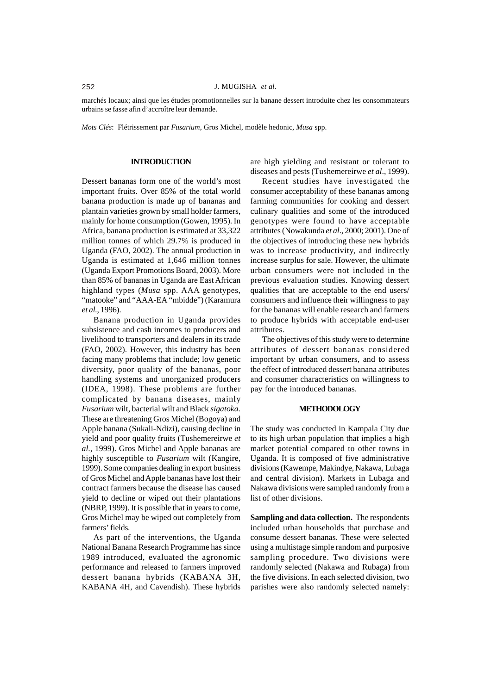marchés locaux; ainsi que les études promotionnelles sur la banane dessert introduite chez les consommateurs urbains se fasse afin d'accroître leur demande.

*Mots Clés*: Flétrissement par *Fusarium*, Gros Michel, modèle hedonic, *Musa* spp.

#### **INTRODUCTION**

Dessert bananas form one of the world's most important fruits. Over 85% of the total world banana production is made up of bananas and plantain varieties grown by small holder farmers, mainly for home consumption (Gowen, 1995). In Africa, banana production is estimated at 33,322 million tonnes of which 29.7% is produced in Uganda (FAO, 2002). The annual production in Uganda is estimated at 1,646 million tonnes (Uganda Export Promotions Board, 2003). More than 85% of bananas in Uganda are East African highland types (*Musa* spp. AAA genotypes, "matooke" and "AAA-EA "mbidde") (Karamura *et al.*, 1996).

Banana production in Uganda provides subsistence and cash incomes to producers and livelihood to transporters and dealers in its trade (FAO, 2002). However, this industry has been facing many problems that include; low genetic diversity, poor quality of the bananas, poor handling systems and unorganized producers (IDEA, 1998). These problems are further complicated by banana diseases, mainly *Fusarium* wilt, bacterial wilt and Black *sigatoka.* These are threatening Gros Michel (Bogoya) and Apple banana (Sukali-Ndizi), causing decline in yield and poor quality fruits (Tushemereirwe *et al*., 1999). Gros Michel and Apple bananas are highly susceptible to *Fusarium* wilt (Kangire, 1999). Some companies dealing in export business of Gros Michel and Apple bananas have lost their contract farmers because the disease has caused yield to decline or wiped out their plantations (NBRP, 1999). It is possible that in years to come, Gros Michel may be wiped out completely from farmers' fields.

As part of the interventions, the Uganda National Banana Research Programme has since 1989 introduced, evaluated the agronomic performance and released to farmers improved dessert banana hybrids (KABANA 3H, KABANA 4H, and Cavendish). These hybrids

are high yielding and resistant or tolerant to diseases and pests (Tushemereirwe *et al*., 1999).

Recent studies have investigated the consumer acceptability of these bananas among farming communities for cooking and dessert culinary qualities and some of the introduced genotypes were found to have acceptable attributes (Nowakunda *et al*., 2000; 2001). One of the objectives of introducing these new hybrids was to increase productivity, and indirectly increase surplus for sale. However, the ultimate urban consumers were not included in the previous evaluation studies. Knowing dessert qualities that are acceptable to the end users/ consumers and influence their willingness to pay for the bananas will enable research and farmers to produce hybrids with acceptable end-user attributes.

The objectives of this study were to determine attributes of dessert bananas considered important by urban consumers, and to assess the effect of introduced dessert banana attributes and consumer characteristics on willingness to pay for the introduced bananas.

### **METHODOLOGY**

The study was conducted in Kampala City due to its high urban population that implies a high market potential compared to other towns in Uganda. It is composed of five administrative divisions (Kawempe, Makindye, Nakawa, Lubaga and central division). Markets in Lubaga and Nakawa divisions were sampled randomly from a list of other divisions.

**Sampling and data collection.** The respondents included urban households that purchase and consume dessert bananas. These were selected using a multistage simple random and purposive sampling procedure. Two divisions were randomly selected (Nakawa and Rubaga) from the five divisions. In each selected division, two parishes were also randomly selected namely: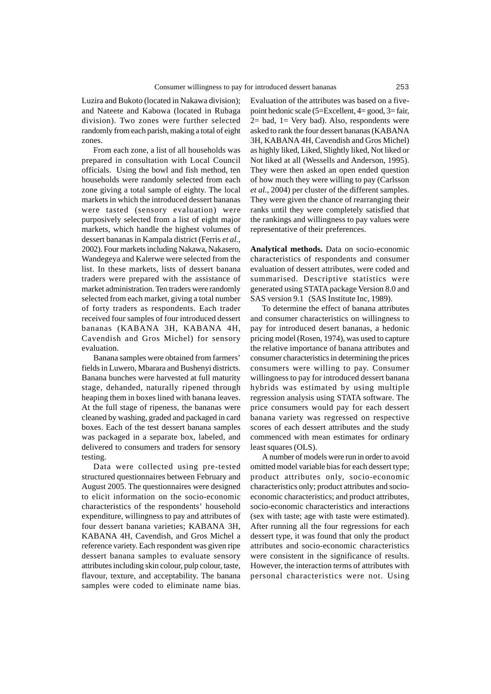Luzira and Bukoto (located in Nakawa division); and Nateete and Kabowa (located in Rubaga division). Two zones were further selected randomly from each parish, making a total of eight zones.

From each zone, a list of all households was prepared in consultation with Local Council officials. Using the bowl and fish method, ten households were randomly selected from each zone giving a total sample of eighty. The local markets in which the introduced dessert bananas were tasted (sensory evaluation) were purposively selected from a list of eight major markets, which handle the highest volumes of dessert bananas in Kampala district (Ferris *et al.,* 2002). Four markets including Nakawa, Nakasero, Wandegeya and Kalerwe were selected from the list. In these markets, lists of dessert banana traders were prepared with the assistance of market administration. Ten traders were randomly selected from each market, giving a total number of forty traders as respondents. Each trader received four samples of four introduced dessert bananas (KABANA 3H, KABANA 4H, Cavendish and Gros Michel) for sensory evaluation.

Banana samples were obtained from farmers' fields in Luwero, Mbarara and Bushenyi districts. Banana bunches were harvested at full maturity stage, dehanded, naturally ripened through heaping them in boxes lined with banana leaves. At the full stage of ripeness, the bananas were cleaned by washing, graded and packaged in card boxes. Each of the test dessert banana samples was packaged in a separate box, labeled, and delivered to consumers and traders for sensory testing.

Data were collected using pre-tested structured questionnaires between February and August 2005. The questionnaires were designed to elicit information on the socio-economic characteristics of the respondents' household expenditure, willingness to pay and attributes of four dessert banana varieties; KABANA 3H, KABANA 4H, Cavendish, and Gros Michel a reference variety. Each respondent was given ripe dessert banana samples to evaluate sensory attributes including skin colour, pulp colour, taste, flavour, texture, and acceptability. The banana samples were coded to eliminate name bias.

Evaluation of the attributes was based on a fivepoint hedonic scale (5=Excellent, 4= good, 3= fair,  $2=$  bad,  $1=$  Very bad). Also, respondents were asked to rank the four dessert bananas (KABANA 3H, KABANA 4H, Cavendish and Gros Michel) as highly liked, Liked, Slightly liked, Not liked or Not liked at all (Wessells and Anderson, 1995). They were then asked an open ended question of how much they were willing to pay (Carlsson *et al.,* 2004) per cluster of the different samples. They were given the chance of rearranging their ranks until they were completely satisfied that the rankings and willingness to pay values were representative of their preferences.

**Analytical methods.** Data on socio-economic characteristics of respondents and consumer evaluation of dessert attributes, were coded and summarised. Descriptive statistics were generated using STATA package Version 8.0 and SAS version 9.1 (SAS Institute Inc, 1989).

To determine the effect of banana attributes and consumer characteristics on willingness to pay for introduced desert bananas, a hedonic pricing model (Rosen, 1974), was used to capture the relative importance of banana attributes and consumer characteristics in determining the prices consumers were willing to pay. Consumer willingness to pay for introduced dessert banana hybrids was estimated by using multiple regression analysis using STATA software. The price consumers would pay for each dessert banana variety was regressed on respective scores of each dessert attributes and the study commenced with mean estimates for ordinary least squares (OLS).

A number of models were run in order to avoid omitted model variable bias for each dessert type; product attributes only, socio-economic characteristics only; product attributes and socioeconomic characteristics; and product attributes, socio-economic characteristics and interactions (sex with taste; age with taste were estimated). After running all the four regressions for each dessert type, it was found that only the product attributes and socio-economic characteristics were consistent in the significance of results. However, the interaction terms of attributes with personal characteristics were not. Using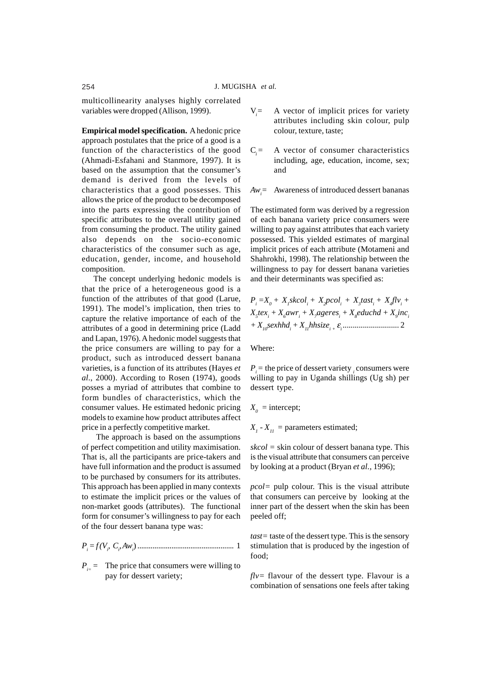multicollinearity analyses highly correlated variables were dropped (Allison, 1999).

**Empirical model specification.** A hedonic price approach postulates that the price of a good is a function of the characteristics of the good (Ahmadi-Esfahani and Stanmore, 1997). It is based on the assumption that the consumer's demand is derived from the levels of characteristics that a good possesses. This allows the price of the product to be decomposed into the parts expressing the contribution of specific attributes to the overall utility gained from consuming the product. The utility gained also depends on the socio-economic characteristics of the consumer such as age, education, gender, income, and household composition.

The concept underlying hedonic models is that the price of a heterogeneous good is a function of the attributes of that good (Larue, 1991). The model's implication, then tries to capture the relative importance of each of the attributes of a good in determining price (Ladd and Lapan, 1976). A hedonic model suggests that the price consumers are willing to pay for a product, such as introduced dessert banana varieties, is a function of its attributes (Hayes *et al*., 2000). According to Rosen (1974), goods posses a myriad of attributes that combine to form bundles of characteristics, which the consumer values. He estimated hedonic pricing models to examine how product attributes affect price in a perfectly competitive market.

 The approach is based on the assumptions of perfect competition and utility maximisation. That is, all the participants are price-takers and have full information and the product is assumed to be purchased by consumers for its attributes. This approach has been applied in many contexts to estimate the implicit prices or the values of non-market goods (attributes). The functional form for consumer's willingness to pay for each of the four dessert banana type was:

$$
P_i = f(V_i, C_i A w_i) \dots (1)
$$

 $P_i$  = The price that consumers were willing to pay for dessert variety;

- $V =$ A vector of implicit prices for variety attributes including skin colour, pulp colour, texture, taste;
- $C =$ A vector of consumer characteristics including, age, education, income, sex; and
- *Awi =* Awareness of introduced dessert bananas

The estimated form was derived by a regression of each banana variety price consumers were willing to pay against attributes that each variety possessed. This yielded estimates of marginal implicit prices of each attribute (Motameni and Shahrokhi, 1998). The relationship between the willingness to pay for dessert banana varieties and their determinants was specified as:

$$
P_i = X_0 + X_i skcol_i + X_2 pcol_i + X_3 task_i + X_4 fly_i +X_5 text_i + X_6 awr_i + X_6 ageres_i + X_8 educhd + X_9 inc_i+ X_6 sexhhd_i + X_7 hhsize_{i_5}.
$$

Where:

 $P_i$  = the price of dessert variety  $_i$  consumers were willing to pay in Uganda shillings (Ug sh) per dessert type.

 $X_0$  = intercept;

 $X_1 - X_{11}$  = parameters estimated;

*skcol =* skin colour of dessert banana type. This is the visual attribute that consumers can perceive by looking at a product (Bryan *et al.,* 1996);

*pcol=* pulp colour. This is the visual attribute that consumers can perceive by looking at the inner part of the dessert when the skin has been peeled off;

*tast=* taste of the dessert type. This is the sensory stimulation that is produced by the ingestion of food;

*flv=* flavour of the dessert type. Flavour is a combination of sensations one feels after taking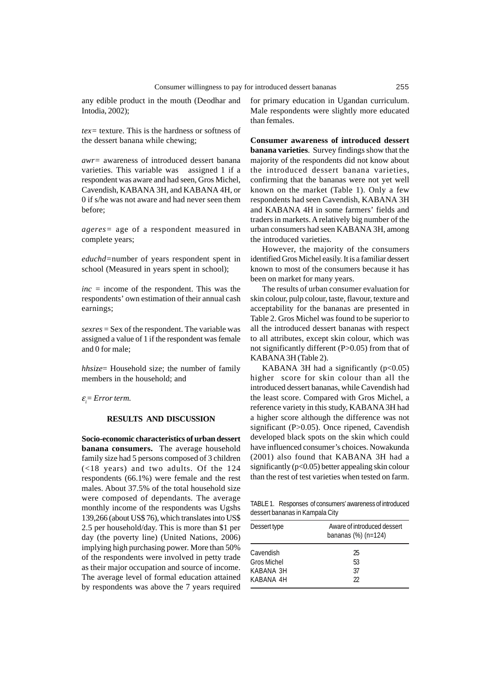any edible product in the mouth (Deodhar and Intodia, 2002);

*tex=* texture. This is the hardness or softness of the dessert banana while chewing;

*awr=* awareness of introduced dessert banana varieties. This variable was assigned 1 if a respondent was aware and had seen, Gros Michel, Cavendish, KABANA 3H, and KABANA 4H, or 0 if s/he was not aware and had never seen them before;

*ageres=* age of a respondent measured in complete years;

*educhd=*number of years respondent spent in school (Measured in years spent in school);

*inc =* income of the respondent. This was the respondents' own estimation of their annual cash earnings;

*sexres* = Sex of the respondent. The variable was assigned a value of 1 if the respondent was female and 0 for male;

*hhsize*= Household size; the number of family members in the household; and

ε*i = Error term.*

# **RESULTS AND DISCUSSION**

**Socio-economic characteristics of urban dessert banana consumers.** The average household family size had 5 persons composed of 3 children (<18 years) and two adults. Of the 124 respondents (66.1%) were female and the rest males. About 37.5% of the total household size were composed of dependants*.* The average monthly income of the respondents was Ugshs 139,266 (about US\$ 76), which translates into US\$ 2.5 per household/day. This is more than \$1 per day (the poverty line) (United Nations, 2006) implying high purchasing power. More than 50% of the respondents were involved in petty trade as their major occupation and source of income. The average level of formal education attained by respondents was above the 7 years required for primary education in Ugandan curriculum. Male respondents were slightly more educated than females.

**Consumer awareness of introduced dessert banana varieties**. Survey findings show that the majority of the respondents did not know about the introduced dessert banana varieties, confirming that the bananas were not yet well known on the market (Table 1). Only a few respondents had seen Cavendish, KABANA 3H and KABANA 4H in some farmers' fields and traders in markets. A relatively big number of the urban consumers had seen KABANA 3H, among the introduced varieties.

However, the majority of the consumers identified Gros Michel easily. It is a familiar dessert known to most of the consumers because it has been on market for many years.

The results of urban consumer evaluation for skin colour, pulp colour, taste, flavour, texture and acceptability for the bananas are presented in Table 2. Gros Michel was found to be superior to all the introduced dessert bananas with respect to all attributes, except skin colour, which was not significantly different (P>0.05) from that of KABANA 3H (Table 2).

KABANA 3H had a significantly  $(p<0.05)$ higher score for skin colour than all the introduced dessert bananas, while Cavendish had the least score. Compared with Gros Michel, a reference variety in this study, KABANA 3H had a higher score although the difference was not significant (P>0.05). Once ripened, Cavendish developed black spots on the skin which could have influenced consumer's choices. Nowakunda (2001) also found that KABANA 3H had a significantly  $(p<0.05)$  better appealing skin colour than the rest of test varieties when tested on farm.

TABLE 1. Responses of consumers' awareness of introduced dessert bananas in Kampala City

| Dessert type | Aware of introduced dessert<br>bananas $(\%)$ (n=124) |  |  |  |  |
|--------------|-------------------------------------------------------|--|--|--|--|
| Cavendish    | 25                                                    |  |  |  |  |
| Gros Michel  | 53                                                    |  |  |  |  |
| KABANA 3H    | 37                                                    |  |  |  |  |
| KABANA 4H    | 22                                                    |  |  |  |  |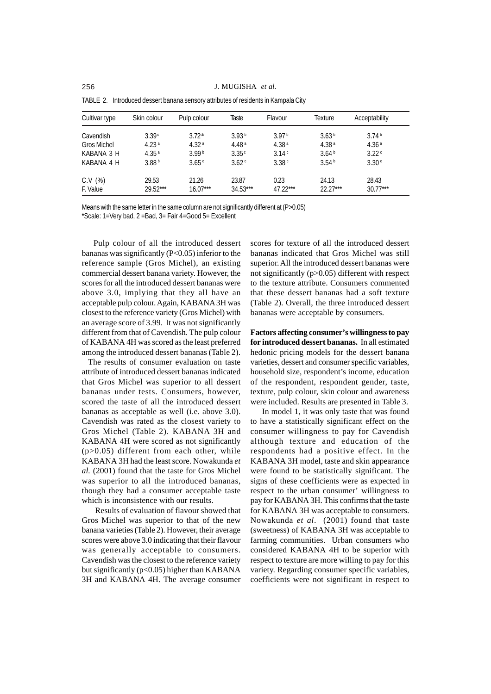| Cultivar type       | Skin colour         | Pulp colour         | Taste               | Flavour            | Texture             | Acceptability       |  |
|---------------------|---------------------|---------------------|---------------------|--------------------|---------------------|---------------------|--|
| Cavendish           | 3.39 <sup>c</sup>   | $3.72^{cb}$         | 3.93 <sup>b</sup>   | 3.97 <sup>b</sup>  | 3.63 <sup>b</sup>   | 3.74 <sup>b</sup>   |  |
| Gros Michel         | 4.23 <sup>a</sup>   | 4.32 <sup>a</sup>   | 4.48 <sup>a</sup>   | 4.38 <sup>a</sup>  | 4.38 <sup>a</sup>   | 4.36 <sup>a</sup>   |  |
| KABANA 3 H          | 4.35 <sup>a</sup>   | 3.99 <sup>b</sup>   | 3.35c               | 3.14 <sup>c</sup>  | 3.64 <sup>b</sup>   | 3.22c               |  |
| KABANA 4 H          | 3.88 <sup>b</sup>   | 3.65c               | 3.62 <sup>c</sup>   | 3.38 <sup>c</sup>  | 3.54 <sup>b</sup>   | 3.30 <sup>c</sup>   |  |
| C.V (%)<br>F. Value | 29.53<br>$29.52***$ | 21.26<br>$16.07***$ | 23.87<br>$34.53***$ | 0.23<br>$47.22***$ | 24.13<br>$22.27***$ | 28.43<br>$30.77***$ |  |

TABLE 2. Introduced dessert banana sensory attributes of residents in Kampala City

Means with the same letter in the same column are not significantly different at (P>0.05) \*Scale: 1=Very bad, 2 =Bad, 3= Fair 4=Good 5= Excellent

Pulp colour of all the introduced dessert bananas was significantly  $(P<0.05)$  inferior to the reference sample (Gros Michel), an existing commercial dessert banana variety. However, the scores for all the introduced dessert bananas were above 3.0, implying that they all have an acceptable pulp colour. Again, KABANA 3H was closest to the reference variety (Gros Michel) with an average score of 3.99. It was not significantly different from that of Cavendish. The pulp colour of KABANA 4H was scored as the least preferred among the introduced dessert bananas (Table 2).

 The results of consumer evaluation on taste attribute of introduced dessert bananas indicated that Gros Michel was superior to all dessert bananas under tests. Consumers, however, scored the taste of all the introduced dessert bananas as acceptable as well (i.e. above 3.0). Cavendish was rated as the closest variety to Gros Michel (Table 2). KABANA 3H and KABANA 4H were scored as not significantly  $(p>0.05)$  different from each other, while KABANA 3H had the least score. Nowakunda *et al.* (2001) found that the taste for Gros Michel was superior to all the introduced bananas, though they had a consumer acceptable taste which is inconsistence with our results.

 Results of evaluation of flavour showed that Gros Michel was superior to that of the new banana varieties (Table 2). However, their average scores were above 3.0 indicating that their flavour was generally acceptable to consumers. Cavendish was the closest to the reference variety but significantly ( $p<0.05$ ) higher than KABANA 3H and KABANA 4H. The average consumer

scores for texture of all the introduced dessert bananas indicated that Gros Michel was still superior. All the introduced dessert bananas were not significantly (p>0.05) different with respect to the texture attribute. Consumers commented that these dessert bananas had a soft texture (Table 2). Overall, the three introduced dessert bananas were acceptable by consumers.

**Factors affecting consumer's willingness to pay for introduced dessert bananas.** In all estimated hedonic pricing models for the dessert banana varieties, dessert and consumer specific variables, household size, respondent's income, education of the respondent, respondent gender, taste, texture, pulp colour, skin colour and awareness were included. Results are presented in Table 3.

In model 1, it was only taste that was found to have a statistically significant effect on the consumer willingness to pay for Cavendish although texture and education of the respondents had a positive effect. In the KABANA 3H model, taste and skin appearance were found to be statistically significant. The signs of these coefficients were as expected in respect to the urban consumer' willingness to pay for KABANA 3H. This confirms that the taste for KABANA 3H was acceptable to consumers. Nowakunda *et al*. (2001) found that taste (sweetness) of KABANA 3H was acceptable to farming communities. Urban consumers who considered KABANA 4H to be superior with respect to texture are more willing to pay for this variety. Regarding consumer specific variables, coefficients were not significant in respect to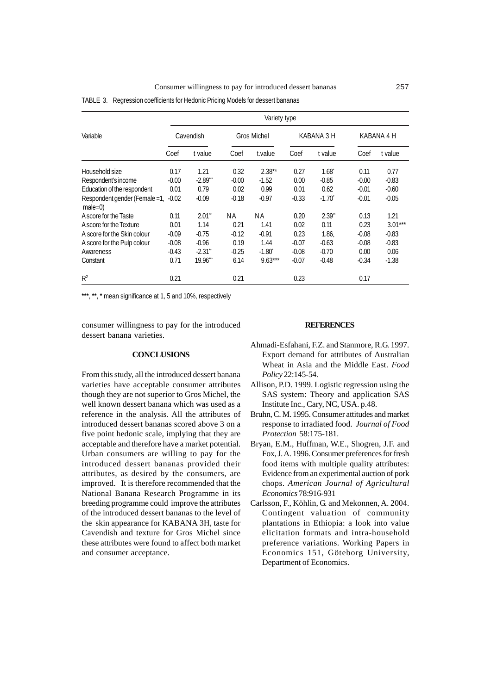|                                                   | Variety type |                        |             |           |            |            |            |           |
|---------------------------------------------------|--------------|------------------------|-------------|-----------|------------|------------|------------|-----------|
| Variable                                          | Cavendish    |                        | Gros Michel |           | KABANA 3 H |            | KABANA 4 H |           |
|                                                   | Coef         | t value                | Coef        | t.value   | Coef       | t value    | Coef       | t value   |
| Household size                                    | 0.17         | 1.21                   | 0.32        | $2.38***$ | 0.27       | $1.68^{6}$ | 0.11       | 0.77      |
| Respondent's income                               | $-0.00$      | $-2.89$ <sup>***</sup> | $-0.00$     | $-1.52$   | 0.00       | $-0.85$    | $-0.00$    | $-0.83$   |
| Education of the respondent                       | 0.01         | 0.79                   | 0.02        | 0.99      | 0.01       | 0.62       | $-0.01$    | $-0.60$   |
| Respondent gender (Female = 1, -0.02<br>$male=0)$ |              | $-0.09$                | $-0.18$     | $-0.97$   | $-0.33$    | $-1.70$    | $-0.01$    | $-0.05$   |
| A score for the Taste                             | 0.11         | $2.01$ <sup>"</sup>    | ΝA          | NА        | 0.20       | $2.39^{4}$ | 0.13       | 1.21      |
| A score for the Texture                           | 0.01         | 1.14                   | 0.21        | 1.41      | 0.02       | 0.11       | 0.23       | $3.01***$ |
| A score for the Skin colour                       | $-0.09$      | $-0.75$                | $-0.12$     | $-0.91$   | 0.23       | 1.86.      | $-0.08$    | $-0.83$   |
| A score for the Pulp colour                       | $-0.08$      | $-0.96$                | 0.19        | 1.44      | $-0.07$    | $-0.63$    | $-0.08$    | $-0.83$   |
| Awareness                                         | $-0.43$      | $-2.31$ <sup>**</sup>  | $-0.25$     | $-1.80$   | $-0.08$    | $-0.70$    | 0.00       | 0.06      |
| Constant                                          | 0.71         | $19.96$ <sup>***</sup> | 6.14        | $9.63***$ | $-0.07$    | $-0.48$    | $-0.34$    | $-1.38$   |
| R <sup>2</sup>                                    | 0.21         |                        | 0.21        |           | 0.23       |            | 0.17       |           |

TABLE 3. Regression coefficients for Hedonic Pricing Models for dessert bananas

\*\*\*, \*\*, \* mean significance at 1, 5 and 10%, respectively

consumer willingness to pay for the introduced dessert banana varieties.

# **CONCLUSIONS**

From this study, all the introduced dessert banana varieties have acceptable consumer attributes though they are not superior to Gros Michel, the well known dessert banana which was used as a reference in the analysis. All the attributes of introduced dessert bananas scored above 3 on a five point hedonic scale, implying that they are acceptable and therefore have a market potential. Urban consumers are willing to pay for the introduced dessert bananas provided their attributes, as desired by the consumers, are improved. It is therefore recommended that the National Banana Research Programme in its breeding programme could improve the attributes of the introduced dessert bananas to the level of the skin appearance for KABANA 3H, taste for Cavendish and texture for Gros Michel since these attributes were found to affect both market and consumer acceptance.

#### **REFERENCES**

- Ahmadi-Esfahani, F.Z. and Stanmore, R.G. 1997. Export demand for attributes of Australian Wheat in Asia and the Middle East. *Food Policy* 22:145-54.
- Allison, P.D. 1999. Logistic regression using the SAS system: Theory and application SAS Institute Inc., Cary, NC, USA. p.48.
- Bruhn, C. M. 1995. Consumer attitudes and market response to irradiated food. *Journal of Food Protection* 58:175-181.
- Bryan, E.M., Huffman, W.E., Shogren, J.F. and Fox, J. A. 1996. Consumer preferences for fresh food items with multiple quality attributes: Evidence from an experimental auction of pork chops. *American Journal of Agricultural Economics* 78:916-931
- Carlsson, F., Köhlin, G. and Mekonnen, A. 2004. Contingent valuation of community plantations in Ethiopia: a look into value elicitation formats and intra-household preference variations. Working Papers in Economics 151, Göteborg University, Department of Economics.